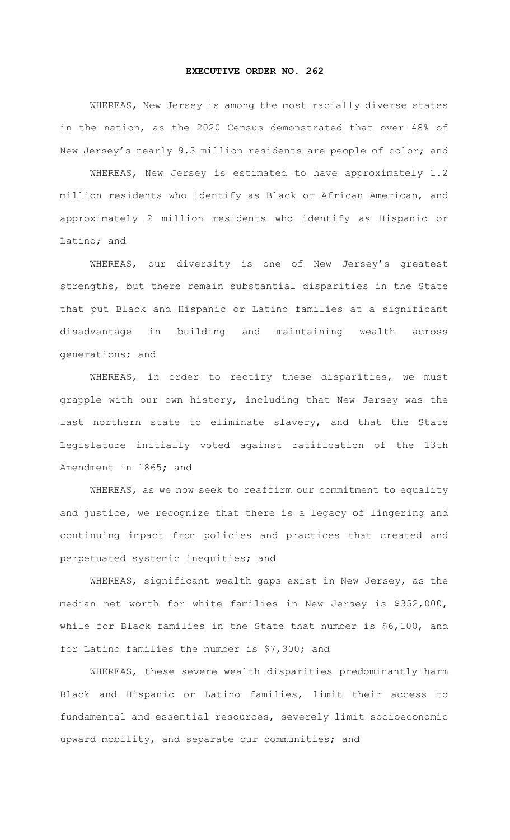## **EXECUTIVE ORDER NO. 262**

WHEREAS, New Jersey is among the most racially diverse states in the nation, as the 2020 Census demonstrated that over 48% of New Jersey's nearly 9.3 million residents are people of color; and

WHEREAS, New Jersey is estimated to have approximately 1.2 million residents who identify as Black or African American, and approximately 2 million residents who identify as Hispanic or Latino; and

WHEREAS, our diversity is one of New Jersey's greatest strengths, but there remain substantial disparities in the State that put Black and Hispanic or Latino families at a significant disadvantage in building and maintaining wealth across generations; and

WHEREAS, in order to rectify these disparities, we must grapple with our own history, including that New Jersey was the last northern state to eliminate slavery, and that the State Legislature initially voted against ratification of the 13th Amendment in 1865; and

WHEREAS, as we now seek to reaffirm our commitment to equality and justice, we recognize that there is a legacy of lingering and continuing impact from policies and practices that created and perpetuated systemic inequities; and

WHEREAS, significant wealth gaps exist in New Jersey, as the median net worth for white families in New Jersey is \$352,000, while for Black families in the State that number is \$6,100, and for Latino families the number is \$7,300; and

WHEREAS, these severe wealth disparities predominantly harm Black and Hispanic or Latino families, limit their access to fundamental and essential resources, severely limit socioeconomic upward mobility, and separate our communities; and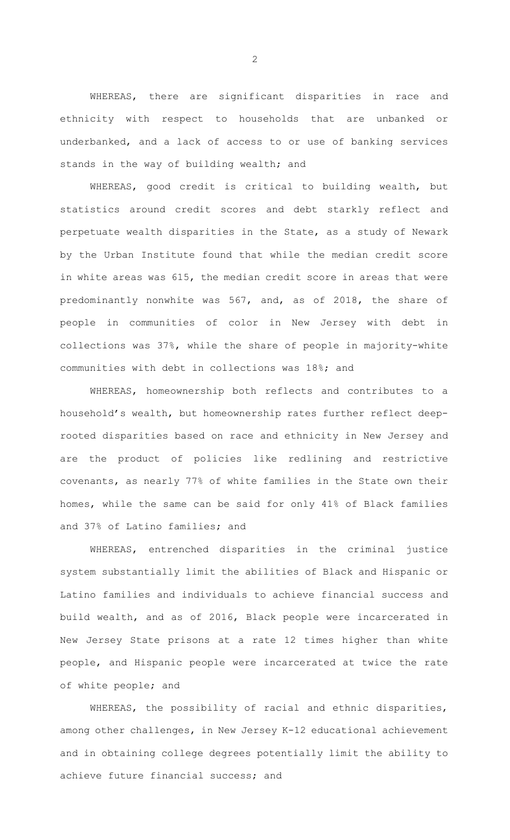WHEREAS, there are significant disparities in race and ethnicity with respect to households that are unbanked or underbanked, and a lack of access to or use of banking services stands in the way of building wealth; and

WHEREAS, good credit is critical to building wealth, but statistics around credit scores and debt starkly reflect and perpetuate wealth disparities in the State, as a study of Newark by the Urban Institute found that while the median credit score in white areas was 615, the median credit score in areas that were predominantly nonwhite was 567, and, as of 2018, the share of people in communities of color in New Jersey with debt in collections was 37%, while the share of people in majority-white communities with debt in collections was 18%; and

WHEREAS, homeownership both reflects and contributes to a household's wealth, but homeownership rates further reflect deeprooted disparities based on race and ethnicity in New Jersey and are the product of policies like redlining and restrictive covenants, as nearly 77% of white families in the State own their homes, while the same can be said for only 41% of Black families and 37% of Latino families; and

WHEREAS, entrenched disparities in the criminal justice system substantially limit the abilities of Black and Hispanic or Latino families and individuals to achieve financial success and build wealth, and as of 2016, Black people were incarcerated in New Jersey State prisons at a rate 12 times higher than white people, and Hispanic people were incarcerated at twice the rate of white people; and

WHEREAS, the possibility of racial and ethnic disparities, among other challenges, in New Jersey K-12 educational achievement and in obtaining college degrees potentially limit the ability to achieve future financial success; and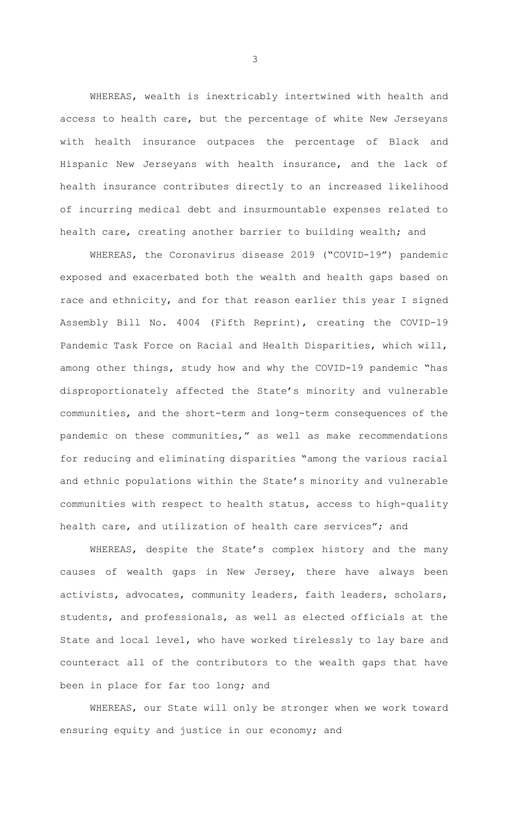WHEREAS, wealth is inextricably intertwined with health and access to health care, but the percentage of white New Jerseyans with health insurance outpaces the percentage of Black and Hispanic New Jerseyans with health insurance, and the lack of health insurance contributes directly to an increased likelihood of incurring medical debt and insurmountable expenses related to health care, creating another barrier to building wealth; and

WHEREAS, the Coronavirus disease 2019 ("COVID-19") pandemic exposed and exacerbated both the wealth and health gaps based on race and ethnicity, and for that reason earlier this year I signed Assembly Bill No. 4004 (Fifth Reprint), creating the COVID-19 Pandemic Task Force on Racial and Health Disparities, which will, among other things, study how and why the COVID-19 pandemic "has disproportionately affected the State's minority and vulnerable communities, and the short-term and long-term consequences of the pandemic on these communities," as well as make recommendations for reducing and eliminating disparities "among the various racial and ethnic populations within the State's minority and vulnerable communities with respect to health status, access to high-quality health care, and utilization of health care services"; and

WHEREAS, despite the State's complex history and the many causes of wealth gaps in New Jersey, there have always been activists, advocates, community leaders, faith leaders, scholars, students, and professionals, as well as elected officials at the State and local level, who have worked tirelessly to lay bare and counteract all of the contributors to the wealth gaps that have been in place for far too long; and

WHEREAS, our State will only be stronger when we work toward ensuring equity and justice in our economy; and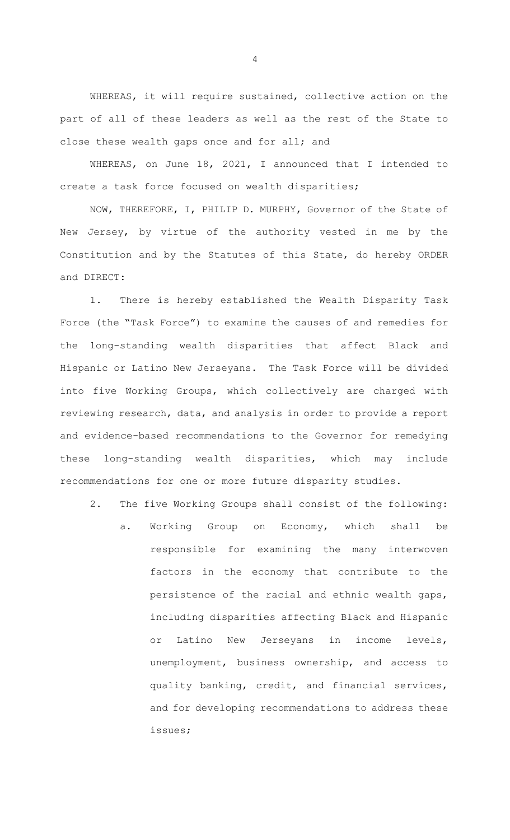WHEREAS, it will require sustained, collective action on the part of all of these leaders as well as the rest of the State to close these wealth gaps once and for all; and

WHEREAS, on June 18, 2021, I announced that I intended to create a task force focused on wealth disparities;

NOW, THEREFORE, I, PHILIP D. MURPHY, Governor of the State of New Jersey, by virtue of the authority vested in me by the Constitution and by the Statutes of this State, do hereby ORDER and DIRECT:

1. There is hereby established the Wealth Disparity Task Force (the "Task Force") to examine the causes of and remedies for the long-standing wealth disparities that affect Black and Hispanic or Latino New Jerseyans. The Task Force will be divided into five Working Groups, which collectively are charged with reviewing research, data, and analysis in order to provide a report and evidence-based recommendations to the Governor for remedying these long-standing wealth disparities, which may include recommendations for one or more future disparity studies.

2. The five Working Groups shall consist of the following:

a. Working Group on Economy, which shall be responsible for examining the many interwoven factors in the economy that contribute to the persistence of the racial and ethnic wealth gaps, including disparities affecting Black and Hispanic or Latino New Jerseyans in income levels, unemployment, business ownership, and access to quality banking, credit, and financial services, and for developing recommendations to address these issues;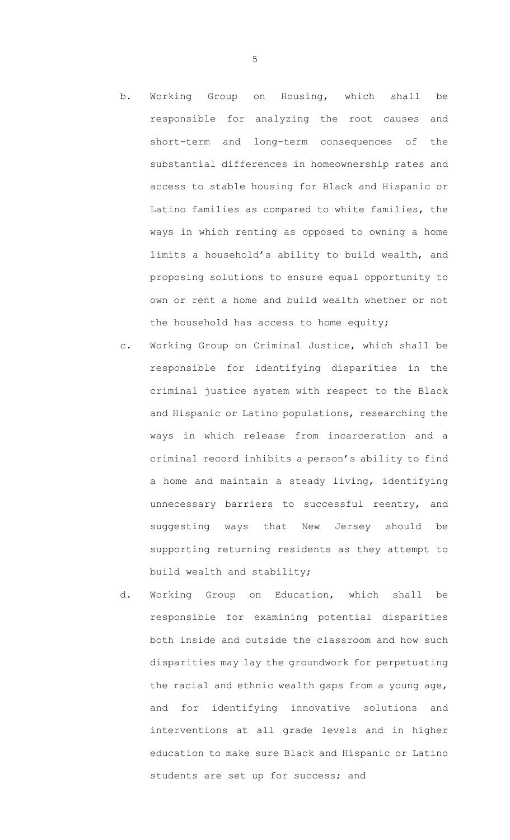- b. Working Group on Housing, which shall be responsible for analyzing the root causes and short-term and long-term consequences of the substantial differences in homeownership rates and access to stable housing for Black and Hispanic or Latino families as compared to white families, the ways in which renting as opposed to owning a home limits a household's ability to build wealth, and proposing solutions to ensure equal opportunity to own or rent a home and build wealth whether or not the household has access to home equity;
- c. Working Group on Criminal Justice, which shall be responsible for identifying disparities in the criminal justice system with respect to the Black and Hispanic or Latino populations, researching the ways in which release from incarceration and a criminal record inhibits a person's ability to find a home and maintain a steady living, identifying unnecessary barriers to successful reentry, and suggesting ways that New Jersey should be supporting returning residents as they attempt to build wealth and stability;
- d. Working Group on Education, which shall be responsible for examining potential disparities both inside and outside the classroom and how such disparities may lay the groundwork for perpetuating the racial and ethnic wealth gaps from a young age, and for identifying innovative solutions and interventions at all grade levels and in higher education to make sure Black and Hispanic or Latino students are set up for success; and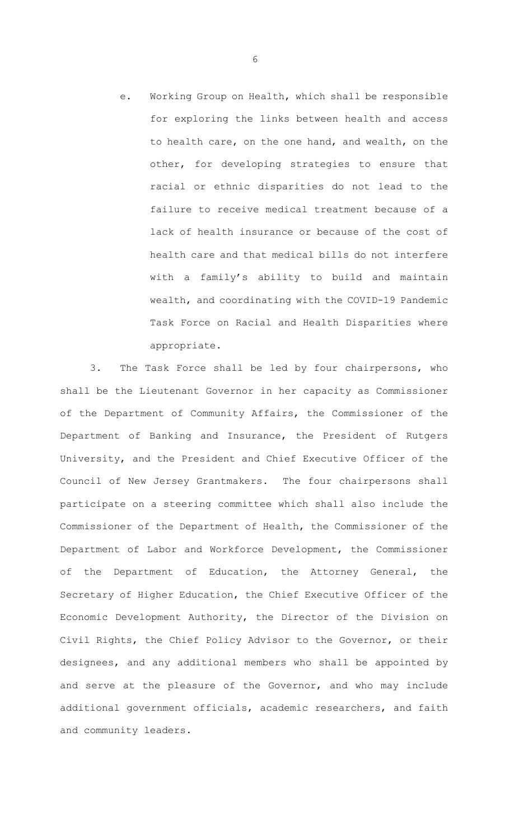e. Working Group on Health, which shall be responsible for exploring the links between health and access to health care, on the one hand, and wealth, on the other, for developing strategies to ensure that racial or ethnic disparities do not lead to the failure to receive medical treatment because of a lack of health insurance or because of the cost of health care and that medical bills do not interfere with a family's ability to build and maintain wealth, and coordinating with the COVID-19 Pandemic Task Force on Racial and Health Disparities where appropriate.

3. The Task Force shall be led by four chairpersons, who shall be the Lieutenant Governor in her capacity as Commissioner of the Department of Community Affairs, the Commissioner of the Department of Banking and Insurance, the President of Rutgers University, and the President and Chief Executive Officer of the Council of New Jersey Grantmakers. The four chairpersons shall participate on a steering committee which shall also include the Commissioner of the Department of Health, the Commissioner of the Department of Labor and Workforce Development, the Commissioner of the Department of Education, the Attorney General, the Secretary of Higher Education, the Chief Executive Officer of the Economic Development Authority, the Director of the Division on Civil Rights, the Chief Policy Advisor to the Governor, or their designees, and any additional members who shall be appointed by and serve at the pleasure of the Governor, and who may include additional government officials, academic researchers, and faith and community leaders.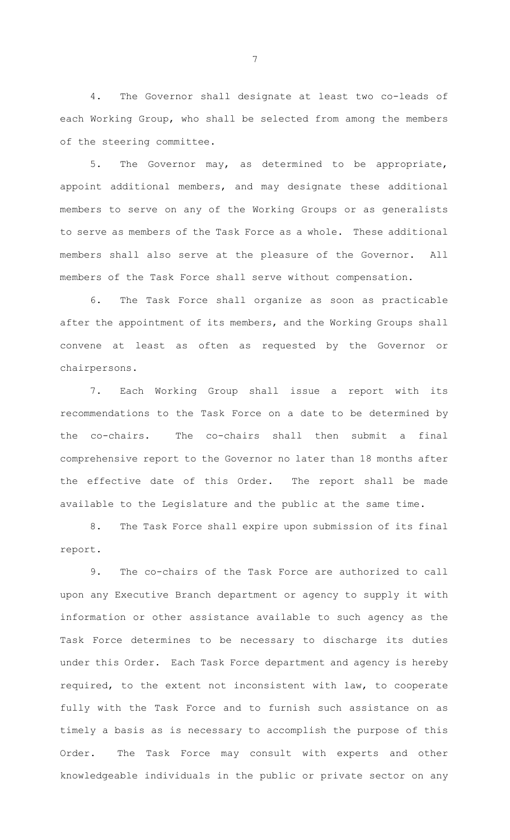4. The Governor shall designate at least two co-leads of each Working Group, who shall be selected from among the members of the steering committee.

5. The Governor may, as determined to be appropriate, appoint additional members, and may designate these additional members to serve on any of the Working Groups or as generalists to serve as members of the Task Force as a whole. These additional members shall also serve at the pleasure of the Governor. All members of the Task Force shall serve without compensation.

6. The Task Force shall organize as soon as practicable after the appointment of its members, and the Working Groups shall convene at least as often as requested by the Governor or chairpersons.

7. Each Working Group shall issue a report with its recommendations to the Task Force on a date to be determined by the co-chairs. The co-chairs shall then submit a final comprehensive report to the Governor no later than 18 months after the effective date of this Order. The report shall be made available to the Legislature and the public at the same time.

8. The Task Force shall expire upon submission of its final report.

9. The co-chairs of the Task Force are authorized to call upon any Executive Branch department or agency to supply it with information or other assistance available to such agency as the Task Force determines to be necessary to discharge its duties under this Order. Each Task Force department and agency is hereby required, to the extent not inconsistent with law, to cooperate fully with the Task Force and to furnish such assistance on as timely a basis as is necessary to accomplish the purpose of this Order. The Task Force may consult with experts and other knowledgeable individuals in the public or private sector on any